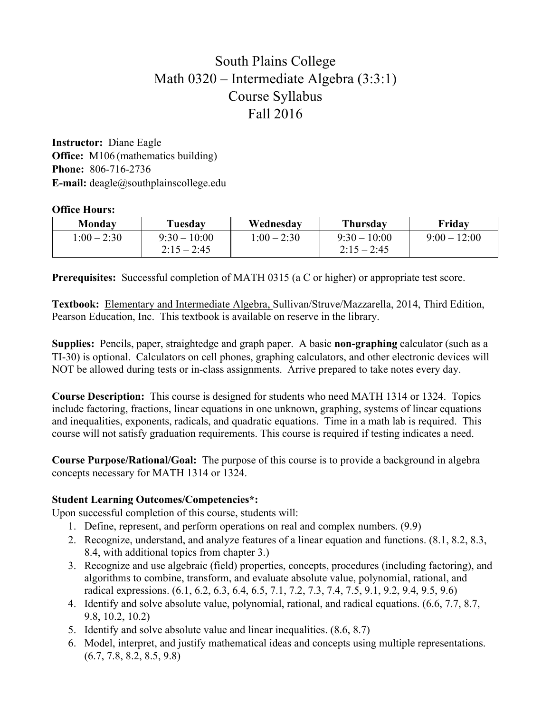# South Plains College Math 0320 – Intermediate Algebra (3:3:1) Course Syllabus Fall 2016

**Instructor:** Diane Eagle **Office:** M106 (mathematics building) **Phone:** 806-716-2736 **E-mail:** deagle@southplainscollege.edu

### **Office Hours:**

| Monday        | Tuesdav        | Wednesday     | Thursday       | Friday         |
|---------------|----------------|---------------|----------------|----------------|
| $1:00 - 2:30$ | $9:30 - 10:00$ | $1:00 - 2:30$ | $9:30 - 10:00$ | $9:00 - 12:00$ |
|               | $2:15 - 2:45$  |               | $2:15 - 2:45$  |                |

**Prerequisites:** Successful completion of MATH 0315 (a C or higher) or appropriate test score.

**Textbook:** Elementary and Intermediate Algebra, Sullivan/Struve/Mazzarella, 2014, Third Edition, Pearson Education, Inc. This textbook is available on reserve in the library.

**Supplies:** Pencils, paper, straightedge and graph paper. A basic **non-graphing** calculator (such as a TI-30) is optional. Calculators on cell phones, graphing calculators, and other electronic devices will NOT be allowed during tests or in-class assignments. Arrive prepared to take notes every day.

**Course Description:** This course is designed for students who need MATH 1314 or 1324. Topics include factoring, fractions, linear equations in one unknown, graphing, systems of linear equations and inequalities, exponents, radicals, and quadratic equations. Time in a math lab is required. This course will not satisfy graduation requirements. This course is required if testing indicates a need.

**Course Purpose/Rational/Goal:** The purpose of this course is to provide a background in algebra concepts necessary for MATH 1314 or 1324.

## **Student Learning Outcomes/Competencies\*:**

Upon successful completion of this course, students will:

- 1. Define, represent, and perform operations on real and complex numbers. (9.9)
- 2. Recognize, understand, and analyze features of a linear equation and functions. (8.1, 8.2, 8.3, 8.4, with additional topics from chapter 3.)
- 3. Recognize and use algebraic (field) properties, concepts, procedures (including factoring), and algorithms to combine, transform, and evaluate absolute value, polynomial, rational, and radical expressions. (6.1, 6.2, 6.3, 6.4, 6.5, 7.1, 7.2, 7.3, 7.4, 7.5, 9.1, 9.2, 9.4, 9.5, 9.6)
- 4. Identify and solve absolute value, polynomial, rational, and radical equations. (6.6, 7.7, 8.7, 9.8, 10.2, 10.2)
- 5. Identify and solve absolute value and linear inequalities. (8.6, 8.7)
- 6. Model, interpret, and justify mathematical ideas and concepts using multiple representations. (6.7, 7.8, 8.2, 8.5, 9.8)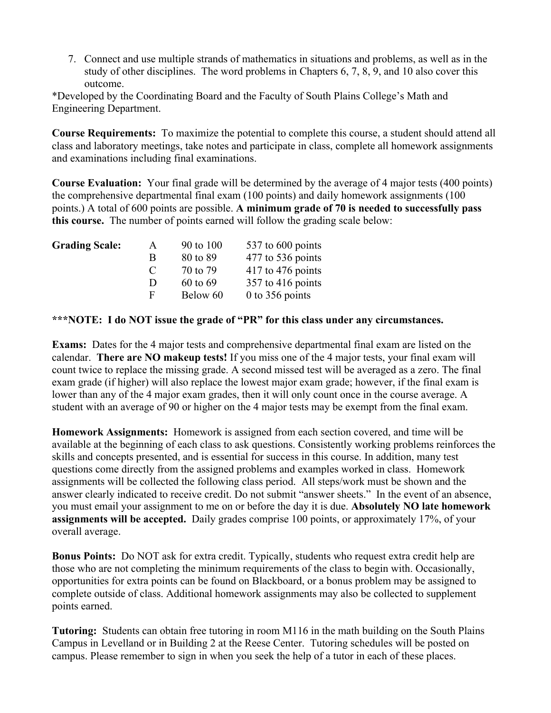7. Connect and use multiple strands of mathematics in situations and problems, as well as in the study of other disciplines. The word problems in Chapters 6, 7, 8, 9, and 10 also cover this outcome.

\*Developed by the Coordinating Board and the Faculty of South Plains College's Math and Engineering Department.

**Course Requirements:** To maximize the potential to complete this course, a student should attend all class and laboratory meetings, take notes and participate in class, complete all homework assignments and examinations including final examinations.

**Course Evaluation:** Your final grade will be determined by the average of 4 major tests (400 points) the comprehensive departmental final exam (100 points) and daily homework assignments (100 points.) A total of 600 points are possible. **A minimum grade of 70 is needed to successfully pass this course.** The number of points earned will follow the grading scale below:

| <b>Grading Scale:</b> | A             | 90 to 100 | 537 to 600 points   |
|-----------------------|---------------|-----------|---------------------|
|                       | B             | 80 to 89  | $477$ to 536 points |
|                       | $\mathcal{C}$ | 70 to 79  | $417$ to 476 points |
|                       | $\mathbf{D}$  | 60 to 69  | $357$ to 416 points |
|                       | F             | Below 60  | 0 to 356 points     |

#### **\*\*\*NOTE: I do NOT issue the grade of "PR" for this class under any circumstances.**

**Exams:** Dates for the 4 major tests and comprehensive departmental final exam are listed on the calendar. **There are NO makeup tests!** If you miss one of the 4 major tests, your final exam will count twice to replace the missing grade. A second missed test will be averaged as a zero. The final exam grade (if higher) will also replace the lowest major exam grade; however, if the final exam is lower than any of the 4 major exam grades, then it will only count once in the course average. A student with an average of 90 or higher on the 4 major tests may be exempt from the final exam.

**Homework Assignments:** Homework is assigned from each section covered, and time will be available at the beginning of each class to ask questions. Consistently working problems reinforces the skills and concepts presented, and is essential for success in this course. In addition, many test questions come directly from the assigned problems and examples worked in class. Homework assignments will be collected the following class period. All steps/work must be shown and the answer clearly indicated to receive credit. Do not submit "answer sheets." In the event of an absence, you must email your assignment to me on or before the day it is due. **Absolutely NO late homework assignments will be accepted.** Daily grades comprise 100 points, or approximately 17%, of your overall average.

**Bonus Points:** Do NOT ask for extra credit. Typically, students who request extra credit help are those who are not completing the minimum requirements of the class to begin with. Occasionally, opportunities for extra points can be found on Blackboard, or a bonus problem may be assigned to complete outside of class. Additional homework assignments may also be collected to supplement points earned.

**Tutoring:** Students can obtain free tutoring in room M116 in the math building on the South Plains Campus in Levelland or in Building 2 at the Reese Center. Tutoring schedules will be posted on campus. Please remember to sign in when you seek the help of a tutor in each of these places.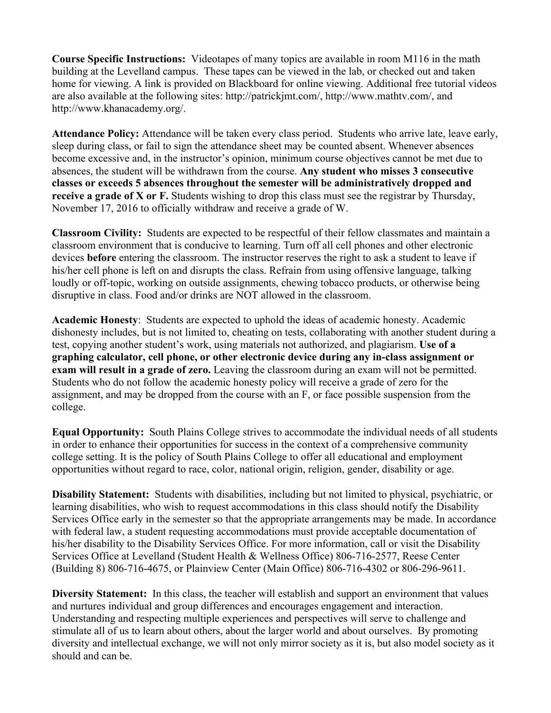**Course Specific Instructions:** Videotapes of many topics are available in room M116 in the math building at the Levelland campus. These tapes can be viewed in the lab, or checked out and taken home for viewing. A link is provided on Blackboard for online viewing. Additional free tutorial videos are also available at the following sites: http://patrickjmt.com/, http://www.mathtv.com/, and http://www.khanacademy.org/.

**Attendance Policy:** Attendance will be taken every class period. Students who arrive late, leave early, sleep during class, or fail to sign the attendance sheet may be counted absent. Whenever absences become excessive and, in the instructor's opinion, minimum course objectives cannot be met due to absences, the student will be withdrawn from the course. **Any student who misses 3 consecutive classes or exceeds 5 absences throughout the semester will be administratively dropped and receive a grade of X or F.** Students wishing to drop this class must see the registrar by Thursday, November 17, 2016 to officially withdraw and receive a grade of W.

**Classroom Civility:** Students are expected to be respectful of their fellow classmates and maintain a classroom environment that is conducive to learning. Turn off all cell phones and other electronic devices **before** entering the classroom. The instructor reserves the right to ask a student to leave if his/her cell phone is left on and disrupts the class. Refrain from using offensive language, talking loudly or off-topic, working on outside assignments, chewing tobacco products, or otherwise being disruptive in class. Food and/or drinks are NOT allowed in the classroom.

**Academic Honesty**: Students are expected to uphold the ideas of academic honesty. Academic dishonesty includes, but is not limited to, cheating on tests, collaborating with another student during a test, copying another student's work, using materials not authorized, and plagiarism. **Use of a graphing calculator, cell phone, or other electronic device during any in-class assignment or exam will result in a grade of zero.** Leaving the classroom during an exam will not be permitted. Students who do not follow the academic honesty policy will receive a grade of zero for the assignment, and may be dropped from the course with an F, or face possible suspension from the college.

**Equal Opportunity:** South Plains College strives to accommodate the individual needs of all students in order to enhance their opportunities for success in the context of a comprehensive community college setting. It is the policy of South Plains College to offer all educational and employment opportunities without regard to race, color, national origin, religion, gender, disability or age.

**Disability Statement:** Students with disabilities, including but not limited to physical, psychiatric, or learning disabilities, who wish to request accommodations in this class should notify the Disability Services Office early in the semester so that the appropriate arrangements may be made. In accordance with federal law, a student requesting accommodations must provide acceptable documentation of his/her disability to the Disability Services Office. For more information, call or visit the Disability Services Office at Levelland (Student Health & Wellness Office) 806-716-2577, Reese Center (Building 8) 806-716-4675, or Plainview Center (Main Office) 806-716-4302 or 806-296-9611.

**Diversity Statement:** In this class, the teacher will establish and support an environment that values and nurtures individual and group differences and encourages engagement and interaction. Understanding and respecting multiple experiences and perspectives will serve to challenge and stimulate all of us to learn about others, about the larger world and about ourselves. By promoting diversity and intellectual exchange, we will not only mirror society as it is, but also model society as it should and can be.